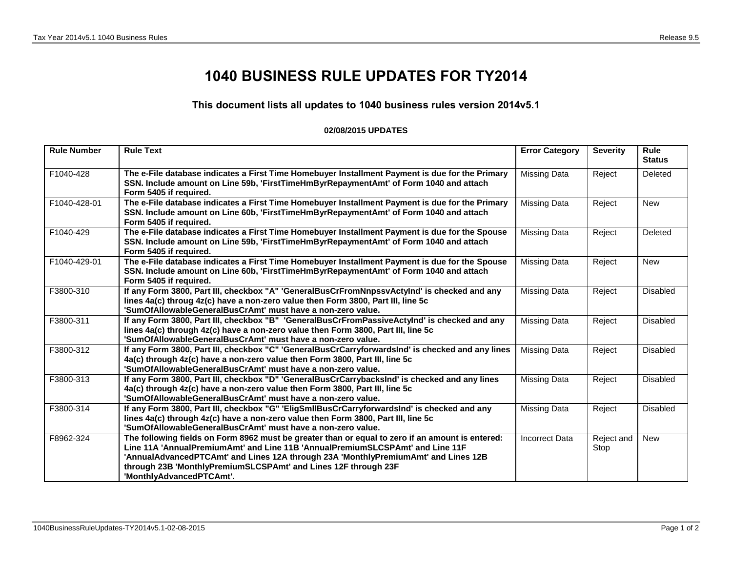## **1040 BUSINESS RULE UPDATES FOR TY2014**

## **This document lists all updates to 1040 business rules version 2014v5.1**

## **02/08/2015 UPDATES**

| <b>Rule Number</b> | <b>Rule Text</b>                                                                                                                                                                                                                                                                                                                                                      | <b>Error Category</b> | <b>Severity</b>    | <b>Rule</b><br><b>Status</b> |
|--------------------|-----------------------------------------------------------------------------------------------------------------------------------------------------------------------------------------------------------------------------------------------------------------------------------------------------------------------------------------------------------------------|-----------------------|--------------------|------------------------------|
| F1040-428          | The e-File database indicates a First Time Homebuyer Installment Payment is due for the Primary<br>SSN. Include amount on Line 59b, 'FirstTimeHmByrRepaymentAmt' of Form 1040 and attach<br>Form 5405 if required.                                                                                                                                                    | <b>Missing Data</b>   | Reject             | Deleted                      |
| F1040-428-01       | The e-File database indicates a First Time Homebuyer Installment Payment is due for the Primary<br>SSN. Include amount on Line 60b, 'FirstTimeHmByrRepaymentAmt' of Form 1040 and attach<br>Form 5405 if required.                                                                                                                                                    | <b>Missing Data</b>   | Reject             | <b>New</b>                   |
| F1040-429          | The e-File database indicates a First Time Homebuyer Installment Payment is due for the Spouse<br>SSN. Include amount on Line 59b, 'FirstTimeHmByrRepaymentAmt' of Form 1040 and attach<br>Form 5405 if required.                                                                                                                                                     | <b>Missing Data</b>   | Reject             | Deleted                      |
| F1040-429-01       | The e-File database indicates a First Time Homebuyer Installment Payment is due for the Spouse<br>SSN. Include amount on Line 60b, 'FirstTimeHmByrRepaymentAmt' of Form 1040 and attach<br>Form 5405 if required.                                                                                                                                                     | <b>Missing Data</b>   | Reject             | <b>New</b>                   |
| F3800-310          | If any Form 3800, Part III, checkbox "A" 'GeneralBusCrFromNnpssvActyInd' is checked and any<br>lines 4a(c) throug 4z(c) have a non-zero value then Form 3800, Part III, line 5c<br>'SumOfAllowableGeneralBusCrAmt' must have a non-zero value.                                                                                                                        | <b>Missing Data</b>   | Reject             | Disabled                     |
| F3800-311          | If any Form 3800, Part III, checkbox "B" 'GeneralBusCrFromPassiveActyInd' is checked and any<br>lines 4a(c) through 4z(c) have a non-zero value then Form 3800, Part III, line 5c<br>'SumOfAllowableGeneralBusCrAmt' must have a non-zero value.                                                                                                                      | <b>Missing Data</b>   | Reject             | Disabled                     |
| F3800-312          | If any Form 3800, Part III, checkbox "C" 'GeneralBusCrCarryforwardsInd' is checked and any lines<br>4a(c) through 4z(c) have a non-zero value then Form 3800, Part III, line 5c<br>'SumOfAllowableGeneralBusCrAmt' must have a non-zero value.                                                                                                                        | <b>Missing Data</b>   | Reject             | Disabled                     |
| F3800-313          | If any Form 3800, Part III, checkbox "D" 'GeneralBusCrCarrybacksInd' is checked and any lines<br>4a(c) through 4z(c) have a non-zero value then Form 3800, Part III, line 5c<br>'SumOfAllowableGeneralBusCrAmt' must have a non-zero value.                                                                                                                           | <b>Missing Data</b>   | Reject             | Disabled                     |
| F3800-314          | If any Form 3800, Part III, checkbox "G" 'EligSmIIBusCrCarryforwardsInd' is checked and any<br>lines 4a(c) through 4z(c) have a non-zero value then Form 3800, Part III, line 5c<br>'SumOfAllowableGeneralBusCrAmt' must have a non-zero value.                                                                                                                       | <b>Missing Data</b>   | Reject             | Disabled                     |
| F8962-324          | The following fields on Form 8962 must be greater than or equal to zero if an amount is entered:<br>Line 11A 'AnnualPremiumAmt' and Line 11B 'AnnualPremiumSLCSPAmt' and Line 11F<br>'AnnualAdvancedPTCAmt' and Lines 12A through 23A 'MonthlyPremiumAmt' and Lines 12B<br>through 23B 'MonthlyPremiumSLCSPAmt' and Lines 12F through 23F<br>'MonthlyAdvancedPTCAmt'. | <b>Incorrect Data</b> | Reject and<br>Stop | <b>New</b>                   |